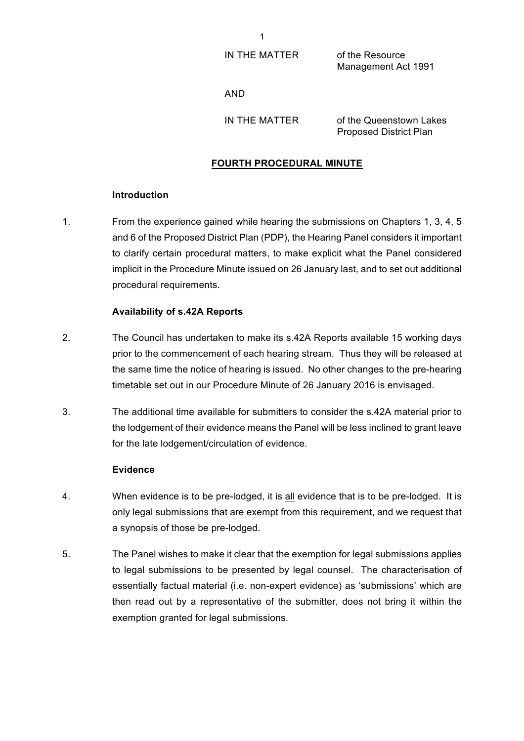IN THE MATTER of the Resource

Management Act 1991

AND

IN THE MATTER of the Queenstown Lakes Proposed District Plan

## **FOURTH PROCEDURAL MINUTE**

#### **Introduction**

1. From the experience gained while hearing the submissions on Chapters 1, 3, 4, 5 and 6 of the Proposed District Plan (PDP), the Hearing Panel considers it important to clarify certain procedural matters, to make explicit what the Panel considered implicit in the Procedure Minute issued on 26 January last, and to set out additional procedural requirements.

### **Availability of s.42A Reports**

- 2. The Council has undertaken to make its s.42A Reports available 15 working days prior to the commencement of each hearing stream. Thus they will be released at the same time the notice of hearing is issued. No other changes to the pre-hearing timetable set out in our Procedure Minute of 26 January 2016 is envisaged.
- 3. The additional time available for submitters to consider the s.42A material prior to the lodgement of their evidence means the Panel will be less inclined to grant leave for the late lodgement/circulation of evidence.

#### **Evidence**

- 4. When evidence is to be pre-lodged, it is all evidence that is to be pre-lodged. It is only legal submissions that are exempt from this requirement, and we request that a synopsis of those be pre-lodged.
- 5. The Panel wishes to make it clear that the exemption for legal submissions applies to legal submissions to be presented by legal counsel. The characterisation of essentially factual material (i.e. non-expert evidence) as 'submissions' which are then read out by a representative of the submitter, does not bring it within the exemption granted for legal submissions.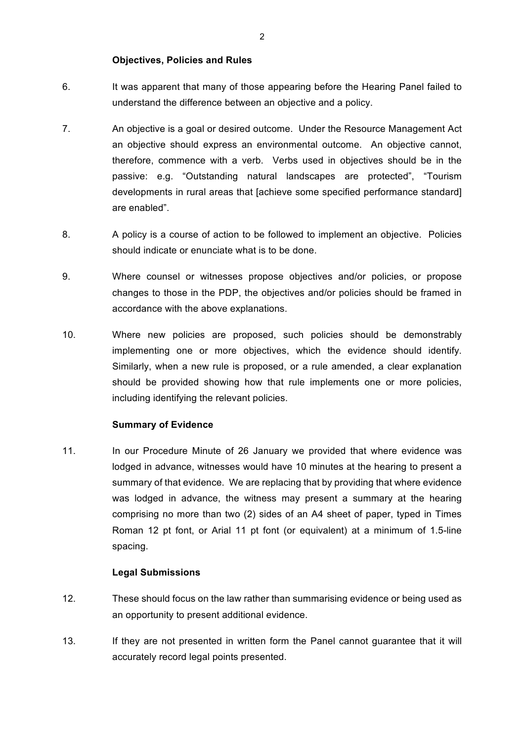### **Objectives, Policies and Rules**

- 6. It was apparent that many of those appearing before the Hearing Panel failed to understand the difference between an objective and a policy.
- 7. An objective is a goal or desired outcome. Under the Resource Management Act an objective should express an environmental outcome. An objective cannot, therefore, commence with a verb. Verbs used in objectives should be in the passive: e.g. "Outstanding natural landscapes are protected", "Tourism developments in rural areas that [achieve some specified performance standard] are enabled".
- 8. A policy is a course of action to be followed to implement an objective. Policies should indicate or enunciate what is to be done.
- 9. Where counsel or witnesses propose objectives and/or policies, or propose changes to those in the PDP, the objectives and/or policies should be framed in accordance with the above explanations.
- 10. Where new policies are proposed, such policies should be demonstrably implementing one or more objectives, which the evidence should identify. Similarly, when a new rule is proposed, or a rule amended, a clear explanation should be provided showing how that rule implements one or more policies, including identifying the relevant policies.

# **Summary of Evidence**

11. In our Procedure Minute of 26 January we provided that where evidence was lodged in advance, witnesses would have 10 minutes at the hearing to present a summary of that evidence. We are replacing that by providing that where evidence was lodged in advance, the witness may present a summary at the hearing comprising no more than two (2) sides of an A4 sheet of paper, typed in Times Roman 12 pt font, or Arial 11 pt font (or equivalent) at a minimum of 1.5-line spacing.

# **Legal Submissions**

- 12. These should focus on the law rather than summarising evidence or being used as an opportunity to present additional evidence.
- 13. If they are not presented in written form the Panel cannot guarantee that it will accurately record legal points presented.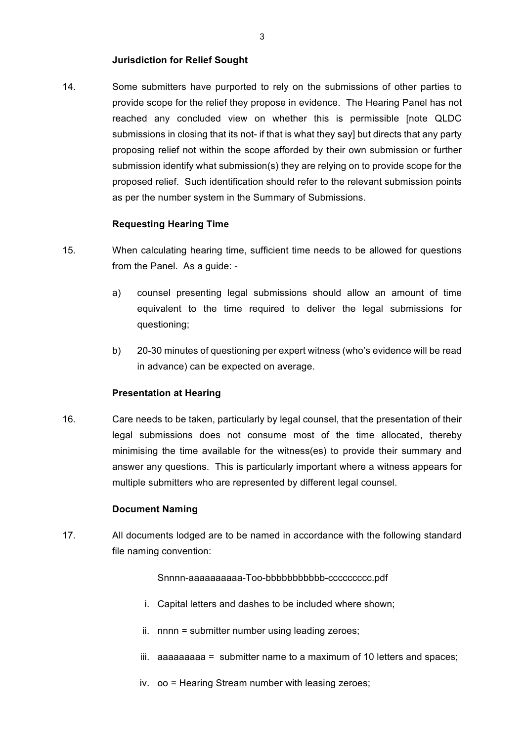### **Jurisdiction for Relief Sought**

14. Some submitters have purported to rely on the submissions of other parties to provide scope for the relief they propose in evidence. The Hearing Panel has not reached any concluded view on whether this is permissible [note QLDC submissions in closing that its not- if that is what they sayl but directs that any party proposing relief not within the scope afforded by their own submission or further submission identify what submission(s) they are relying on to provide scope for the proposed relief. Such identification should refer to the relevant submission points as per the number system in the Summary of Submissions.

### **Requesting Hearing Time**

- 15. When calculating hearing time, sufficient time needs to be allowed for questions from the Panel. As a quide:
	- a) counsel presenting legal submissions should allow an amount of time equivalent to the time required to deliver the legal submissions for questioning;
	- b) 20-30 minutes of questioning per expert witness (who's evidence will be read in advance) can be expected on average.

#### **Presentation at Hearing**

16. Care needs to be taken, particularly by legal counsel, that the presentation of their legal submissions does not consume most of the time allocated, thereby minimising the time available for the witness(es) to provide their summary and answer any questions. This is particularly important where a witness appears for multiple submitters who are represented by different legal counsel.

# **Document Naming**

17. All documents lodged are to be named in accordance with the following standard file naming convention:

Snnnn-aaaaaaaaaaa-Too-bbbbbbbbbbbb-ccccccccc.pdf

- i. Capital letters and dashes to be included where shown;
- ii. nnnn = submitter number using leading zeroes;
- iii. aaaaaaaaa = submitter name to a maximum of 10 letters and spaces;
- iv. oo = Hearing Stream number with leasing zeroes;